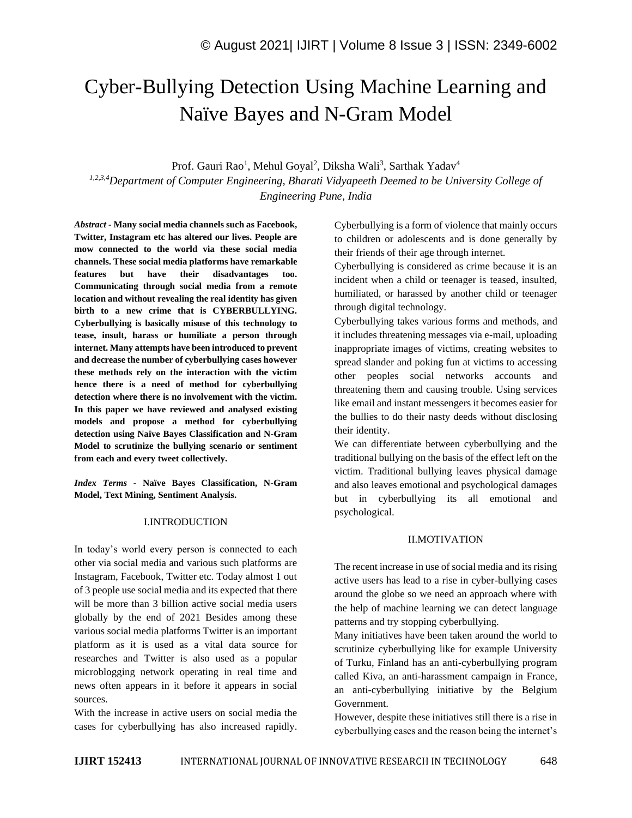# Cyber-Bullying Detection Using Machine Learning and Naïve Bayes and N-Gram Model

Prof. Gauri Rao<sup>1</sup>, Mehul Goyal<sup>2</sup>, Diksha Wali<sup>3</sup>, Sarthak Yadav<sup>4</sup>

*1,2,3,4Department of Computer Engineering, Bharati Vidyapeeth Deemed to be University College of Engineering Pune, India*

*Abstract -* **Many social media channels such as Facebook, Twitter, Instagram etc has altered our lives. People are mow connected to the world via these social media channels. These social media platforms have remarkable features but have their disadvantages too. Communicating through social media from a remote location and without revealing the real identity has given birth to a new crime that is CYBERBULLYING. Cyberbullying is basically misuse of this technology to tease, insult, harass or humiliate a person through internet. Many attempts have been introduced to prevent and decrease the number of cyberbullying cases however these methods rely on the interaction with the victim hence there is a need of method for cyberbullying detection where there is no involvement with the victim. In this paper we have reviewed and analysed existing models and propose a method for cyberbullying detection using Naïve Bayes Classification and N-Gram Model to scrutinize the bullying scenario or sentiment from each and every tweet collectively.**

*Index Terms -* **Naïve Bayes Classification, N-Gram Model, Text Mining, Sentiment Analysis.**

#### I.INTRODUCTION

In today's world every person is connected to each other via social media and various such platforms are Instagram, Facebook, Twitter etc. Today almost 1 out of 3 people use social media and its expected that there will be more than 3 billion active social media users globally by the end of 2021 Besides among these various social media platforms Twitter is an important platform as it is used as a vital data source for researches and Twitter is also used as a popular microblogging network operating in real time and news often appears in it before it appears in social sources.

With the increase in active users on social media the cases for cyberbullying has also increased rapidly. Cyberbullying is a form of violence that mainly occurs to children or adolescents and is done generally by their friends of their age through internet.

Cyberbullying is considered as crime because it is an incident when a child or teenager is teased, insulted, humiliated, or harassed by another child or teenager through digital technology.

Cyberbullying takes various forms and methods, and it includes threatening messages via e-mail, uploading inappropriate images of victims, creating websites to spread slander and poking fun at victims to accessing other peoples social networks accounts and threatening them and causing trouble. Using services like email and instant messengers it becomes easier for the bullies to do their nasty deeds without disclosing their identity.

We can differentiate between cyberbullying and the traditional bullying on the basis of the effect left on the victim. Traditional bullying leaves physical damage and also leaves emotional and psychological damages but in cyberbullying its all emotional and psychological.

### II.MOTIVATION

The recent increase in use of social media and its rising active users has lead to a rise in cyber-bullying cases around the globe so we need an approach where with the help of machine learning we can detect language patterns and try stopping cyberbullying.

Many initiatives have been taken around the world to scrutinize cyberbullying like for example University of Turku, Finland has an anti-cyberbullying program called Kiva, an anti-harassment campaign in France, an anti-cyberbullying initiative by the Belgium Government.

However, despite these initiatives still there is a rise in cyberbullying cases and the reason being the internet's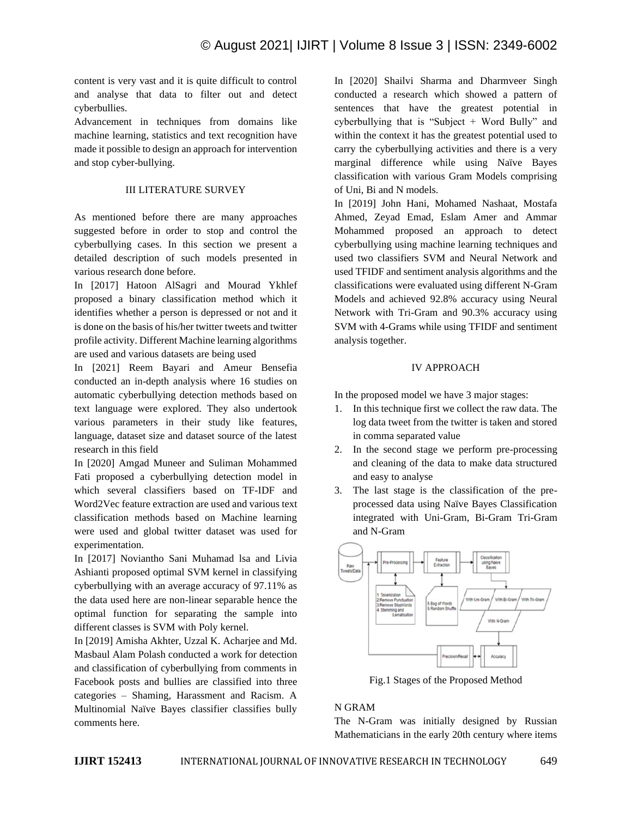content is very vast and it is quite difficult to control and analyse that data to filter out and detect cyberbullies.

Advancement in techniques from domains like machine learning, statistics and text recognition have made it possible to design an approach for intervention and stop cyber-bullying.

## III LITERATURE SURVEY

As mentioned before there are many approaches suggested before in order to stop and control the cyberbullying cases. In this section we present a detailed description of such models presented in various research done before.

In [2017] Hatoon AlSagri and Mourad Ykhlef proposed a binary classification method which it identifies whether a person is depressed or not and it is done on the basis of his/her twitter tweets and twitter profile activity. Different Machine learning algorithms are used and various datasets are being used

In [2021] Reem Bayari and Ameur Bensefia conducted an in-depth analysis where 16 studies on automatic cyberbullying detection methods based on text language were explored. They also undertook various parameters in their study like features, language, dataset size and dataset source of the latest research in this field

In [2020] Amgad Muneer and Suliman Mohammed Fati proposed a cyberbullying detection model in which several classifiers based on TF-IDF and Word2Vec feature extraction are used and various text classification methods based on Machine learning were used and global twitter dataset was used for experimentation.

In [2017] Noviantho Sani Muhamad lsa and Livia Ashianti proposed optimal SVM kernel in classifying cyberbullying with an average accuracy of 97.11% as the data used here are non-linear separable hence the optimal function for separating the sample into different classes is SVM with Poly kernel.

In [2019] Amisha Akhter, Uzzal K. Acharjee and Md. Masbaul Alam Polash conducted a work for detection and classification of cyberbullying from comments in Facebook posts and bullies are classified into three categories – Shaming, Harassment and Racism. A Multinomial Naïve Bayes classifier classifies bully comments here.

In [2020] Shailvi Sharma and Dharmveer Singh conducted a research which showed a pattern of sentences that have the greatest potential in cyberbullying that is "Subject + Word Bully" and within the context it has the greatest potential used to carry the cyberbullying activities and there is a very marginal difference while using Naïve Bayes classification with various Gram Models comprising of Uni, Bi and N models.

In [2019] John Hani, Mohamed Nashaat, Mostafa Ahmed, Zeyad Emad, Eslam Amer and Ammar Mohammed proposed an approach to detect cyberbullying using machine learning techniques and used two classifiers SVM and Neural Network and used TFIDF and sentiment analysis algorithms and the classifications were evaluated using different N-Gram Models and achieved 92.8% accuracy using Neural Network with Tri-Gram and 90.3% accuracy using SVM with 4-Grams while using TFIDF and sentiment analysis together.

## IV APPROACH

In the proposed model we have 3 major stages:

- 1. In this technique first we collect the raw data. The log data tweet from the twitter is taken and stored in comma separated value
- 2. In the second stage we perform pre-processing and cleaning of the data to make data structured and easy to analyse
- 3. The last stage is the classification of the preprocessed data using Naïve Bayes Classification integrated with Uni-Gram, Bi-Gram Tri-Gram and N-Gram



Fig.1 Stages of the Proposed Method

# N GRAM

The N-Gram was initially designed by Russian Mathematicians in the early 20th century where items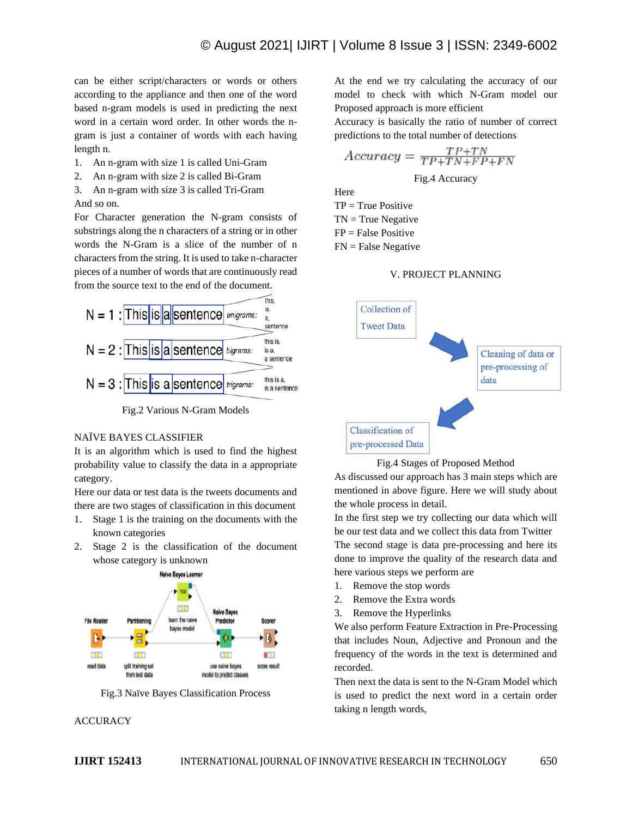can be either script/characters or words or others according to the appliance and then one of the word based n-gram models is used in predicting the next word in a certain word order. In other words the ngram is just a container of words with each having length n.

- 1. An n-gram with size 1 is called Uni-Gram
- 2. An n-gram with size 2 is called Bi-Gram
- 3. An n-gram with size 3 is called Tri-Gram And so on.

For Character generation the N-gram consists of substrings along the n characters of a string or in other words the N-Gram is a slice of the number of n characters from the string. It is used to take n-character pieces of a number of words that are continuously read from the source text to the end of the document.





#### NAÏVE BAYES CLASSIFIER

It is an algorithm which is used to find the highest probability value to classify the data in a appropriate category.

Here our data or test data is the tweets documents and there are two stages of classification in this document

- 1. Stage 1 is the training on the documents with the known categories
- 2. Stage 2 is the classification of the document whose category is unknown



Fig.3 Naïve Bayes Classification Process

# **ACCURACY**

At the end we try calculating the accuracy of our model to check with which N-Gram model our Proposed approach is more efficient

Accuracy is basically the ratio of number of correct predictions to the total number of detections

$$
Accuracy = \frac{TP + TN}{TP + TN + FP + FN}
$$

Fig.4 Accuracy

Here  $TP = True Positive$  $TN = True$  Negative  $FP = False Positive$  $FN = False Negative$ 







As discussed our approach has 3 main steps which are mentioned in above figure. Here we will study about the whole process in detail.

In the first step we try collecting our data which will be our test data and we collect this data from Twitter The second stage is data pre-processing and here its done to improve the quality of the research data and here various steps we perform are

- 1. Remove the stop words
- 2. Remove the Extra words
- 3. Remove the Hyperlinks

We also perform Feature Extraction in Pre-Processing that includes Noun, Adjective and Pronoun and the frequency of the words in the text is determined and recorded.

Then next the data is sent to the N-Gram Model which is used to predict the next word in a certain order taking n length words,